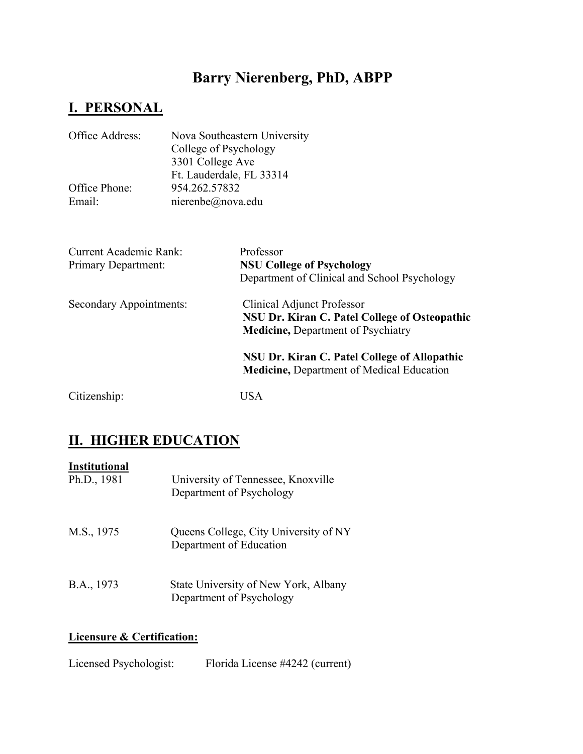# **I. PERSONAL**

| Office Address: | Nova Southeastern University |
|-----------------|------------------------------|
|                 | College of Psychology        |
|                 | 3301 College Ave             |
|                 | Ft. Lauderdale, FL 33314     |
| Office Phone:   | 954.262.57832                |
| Email:          | nierenbe@nova.edu            |
|                 |                              |
|                 |                              |

| <b>Current Academic Rank:</b> | Professor                                                                                        |  |
|-------------------------------|--------------------------------------------------------------------------------------------------|--|
| <b>Primary Department:</b>    | <b>NSU College of Psychology</b>                                                                 |  |
|                               | Department of Clinical and School Psychology                                                     |  |
| Secondary Appointments:       | Clinical Adjunct Professor                                                                       |  |
|                               | <b>NSU Dr. Kiran C. Patel College of Osteopathic</b>                                             |  |
|                               | <b>Medicine, Department of Psychiatry</b>                                                        |  |
|                               | NSU Dr. Kiran C. Patel College of Allopathic<br><b>Medicine, Department of Medical Education</b> |  |
| Citizenship:                  | <b>USA</b>                                                                                       |  |

# **II. HIGHER EDUCATION**

| <b>Institutional</b><br>Ph.D., 1981 | University of Tennessee, Knoxville<br>Department of Psychology   |
|-------------------------------------|------------------------------------------------------------------|
| M.S., 1975                          | Queens College, City University of NY<br>Department of Education |
| B.A., 1973                          | State University of New York, Albany<br>Department of Psychology |

## **Licensure & Certification:**

| Licensed Psychologist: | Florida License #4242 (current) |
|------------------------|---------------------------------|
|------------------------|---------------------------------|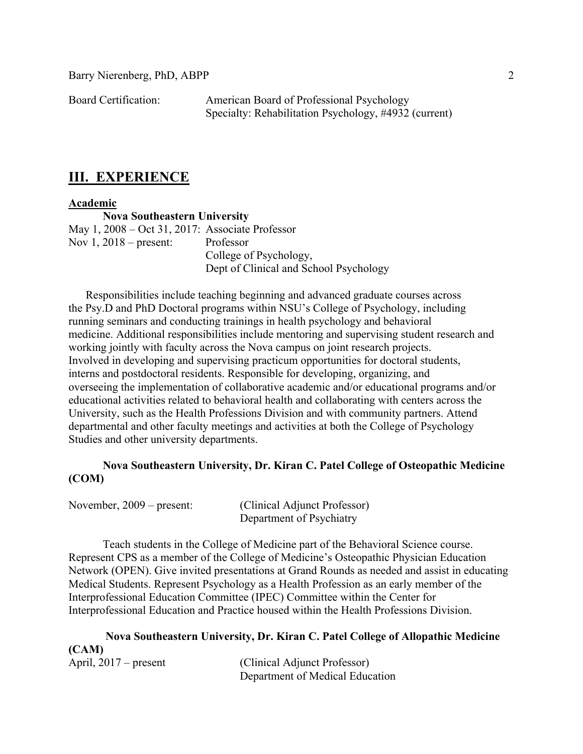Board Certification: American Board of Professional Psychology Specialty: Rehabilitation Psychology, #4932 (current)

## **III. EXPERIENCE**

#### **Academic**

**Nova Southeastern University** May 1, 2008 – Oct 31, 2017: Associate Professor Nov 1, 2018 – present: Professor College of Psychology, Dept of Clinical and School Psychology

 Responsibilities include teaching beginning and advanced graduate courses across the Psy.D and PhD Doctoral programs within NSU's College of Psychology, including running seminars and conducting trainings in health psychology and behavioral medicine. Additional responsibilities include mentoring and supervising student research and working jointly with faculty across the Nova campus on joint research projects. Involved in developing and supervising practicum opportunities for doctoral students, interns and postdoctoral residents. Responsible for developing, organizing, and overseeing the implementation of collaborative academic and/or educational programs and/or educational activities related to behavioral health and collaborating with centers across the University, such as the Health Professions Division and with community partners. Attend departmental and other faculty meetings and activities at both the College of Psychology Studies and other university departments.

## **Nova Southeastern University, Dr. Kiran C. Patel College of Osteopathic Medicine (COM)**

| November, $2009$ – present: | (Clinical Adjunct Professor) |
|-----------------------------|------------------------------|
|                             | Department of Psychiatry     |

 Teach students in the College of Medicine part of the Behavioral Science course. Represent CPS as a member of the College of Medicine's Osteopathic Physician Education Network (OPEN). Give invited presentations at Grand Rounds as needed and assist in educating Medical Students. Represent Psychology as a Health Profession as an early member of the Interprofessional Education Committee (IPEC) Committee within the Center for Interprofessional Education and Practice housed within the Health Professions Division.

|                         | Nova Southeastern University, Dr. Kiran C. Patel College of Allopathic Medicine |
|-------------------------|---------------------------------------------------------------------------------|
| (CAM)                   |                                                                                 |
| April, $2017$ – present | (Clinical Adjunct Professor)                                                    |
|                         | Department of Medical Education                                                 |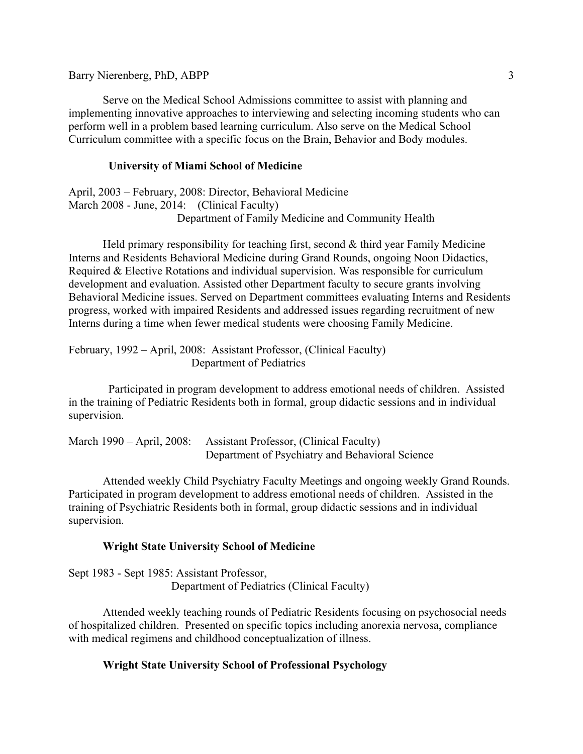Serve on the Medical School Admissions committee to assist with planning and implementing innovative approaches to interviewing and selecting incoming students who can perform well in a problem based learning curriculum. Also serve on the Medical School Curriculum committee with a specific focus on the Brain, Behavior and Body modules.

#### **University of Miami School of Medicine**

April, 2003 – February, 2008: Director, Behavioral Medicine March 2008 - June, 2014: (Clinical Faculty) Department of Family Medicine and Community Health

 Held primary responsibility for teaching first, second & third year Family Medicine Interns and Residents Behavioral Medicine during Grand Rounds, ongoing Noon Didactics, Required & Elective Rotations and individual supervision. Was responsible for curriculum development and evaluation. Assisted other Department faculty to secure grants involving Behavioral Medicine issues. Served on Department committees evaluating Interns and Residents progress, worked with impaired Residents and addressed issues regarding recruitment of new Interns during a time when fewer medical students were choosing Family Medicine.

February, 1992 – April, 2008: Assistant Professor, (Clinical Faculty) Department of Pediatrics

 Participated in program development to address emotional needs of children. Assisted in the training of Pediatric Residents both in formal, group didactic sessions and in individual supervision.

March 1990 – April, 2008: Assistant Professor, (Clinical Faculty) Department of Psychiatry and Behavioral Science

Attended weekly Child Psychiatry Faculty Meetings and ongoing weekly Grand Rounds. Participated in program development to address emotional needs of children. Assisted in the training of Psychiatric Residents both in formal, group didactic sessions and in individual supervision.

#### **Wright State University School of Medicine**

Sept 1983 - Sept 1985: Assistant Professor, Department of Pediatrics (Clinical Faculty)

Attended weekly teaching rounds of Pediatric Residents focusing on psychosocial needs of hospitalized children. Presented on specific topics including anorexia nervosa, compliance with medical regimens and childhood conceptualization of illness.

### **Wright State University School of Professional Psychology**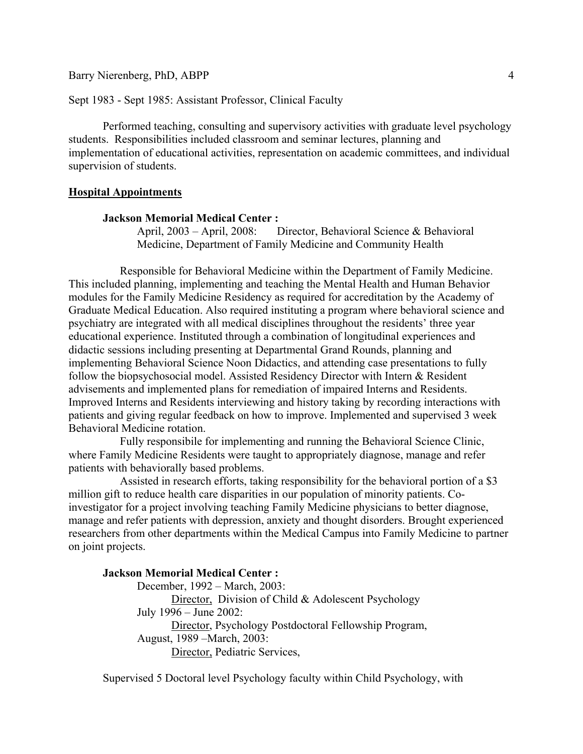Sept 1983 - Sept 1985: Assistant Professor, Clinical Faculty

Performed teaching, consulting and supervisory activities with graduate level psychology students. Responsibilities included classroom and seminar lectures, planning and implementation of educational activities, representation on academic committees, and individual supervision of students.

#### **Hospital Appointments**

#### **Jackson Memorial Medical Center :**

April, 2003 – April, 2008: Director, Behavioral Science & Behavioral Medicine, Department of Family Medicine and Community Health

Responsible for Behavioral Medicine within the Department of Family Medicine. This included planning, implementing and teaching the Mental Health and Human Behavior modules for the Family Medicine Residency as required for accreditation by the Academy of Graduate Medical Education. Also required instituting a program where behavioral science and psychiatry are integrated with all medical disciplines throughout the residents' three year educational experience. Instituted through a combination of longitudinal experiences and didactic sessions including presenting at Departmental Grand Rounds, planning and implementing Behavioral Science Noon Didactics, and attending case presentations to fully follow the biopsychosocial model. Assisted Residency Director with Intern & Resident advisements and implemented plans for remediation of impaired Interns and Residents. Improved Interns and Residents interviewing and history taking by recording interactions with patients and giving regular feedback on how to improve. Implemented and supervised 3 week Behavioral Medicine rotation.

Fully responsibile for implementing and running the Behavioral Science Clinic, where Family Medicine Residents were taught to appropriately diagnose, manage and refer patients with behaviorally based problems.

Assisted in research efforts, taking responsibility for the behavioral portion of a \$3 million gift to reduce health care disparities in our population of minority patients. Coinvestigator for a project involving teaching Family Medicine physicians to better diagnose, manage and refer patients with depression, anxiety and thought disorders. Brought experienced researchers from other departments within the Medical Campus into Family Medicine to partner on joint projects.

#### **Jackson Memorial Medical Center :**

December, 1992 – March, 2003: Director, Division of Child & Adolescent Psychology July 1996 – June 2002: Director, Psychology Postdoctoral Fellowship Program, August, 1989 –March, 2003: Director, Pediatric Services,

Supervised 5 Doctoral level Psychology faculty within Child Psychology, with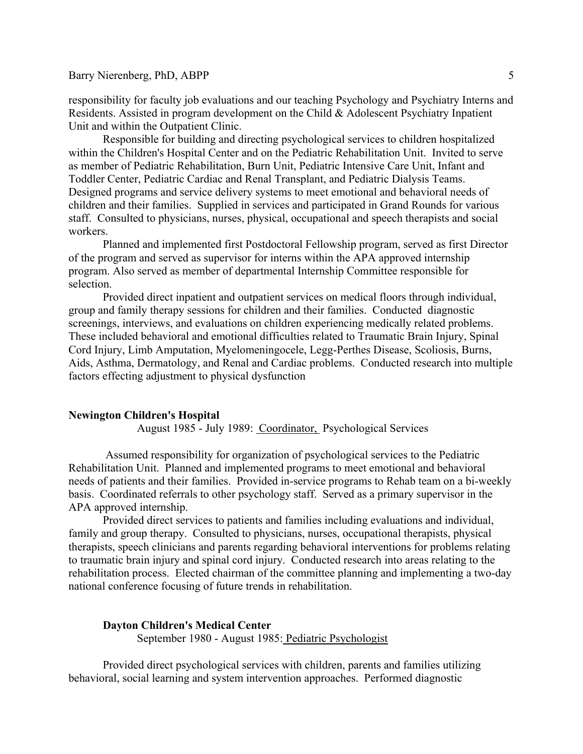responsibility for faculty job evaluations and our teaching Psychology and Psychiatry Interns and Residents. Assisted in program development on the Child & Adolescent Psychiatry Inpatient Unit and within the Outpatient Clinic.

Responsible for building and directing psychological services to children hospitalized within the Children's Hospital Center and on the Pediatric Rehabilitation Unit. Invited to serve as member of Pediatric Rehabilitation, Burn Unit, Pediatric Intensive Care Unit, Infant and Toddler Center, Pediatric Cardiac and Renal Transplant, and Pediatric Dialysis Teams. Designed programs and service delivery systems to meet emotional and behavioral needs of children and their families. Supplied in services and participated in Grand Rounds for various staff. Consulted to physicians, nurses, physical, occupational and speech therapists and social workers.

 Planned and implemented first Postdoctoral Fellowship program, served as first Director of the program and served as supervisor for interns within the APA approved internship program. Also served as member of departmental Internship Committee responsible for selection.

Provided direct inpatient and outpatient services on medical floors through individual, group and family therapy sessions for children and their families. Conducted diagnostic screenings, interviews, and evaluations on children experiencing medically related problems. These included behavioral and emotional difficulties related to Traumatic Brain Injury, Spinal Cord Injury, Limb Amputation, Myelomeningocele, Legg-Perthes Disease, Scoliosis, Burns, Aids, Asthma, Dermatology, and Renal and Cardiac problems. Conducted research into multiple factors effecting adjustment to physical dysfunction

#### **Newington Children's Hospital**

August 1985 - July 1989: Coordinator, Psychological Services

 Assumed responsibility for organization of psychological services to the Pediatric Rehabilitation Unit. Planned and implemented programs to meet emotional and behavioral needs of patients and their families. Provided in-service programs to Rehab team on a bi-weekly basis. Coordinated referrals to other psychology staff. Served as a primary supervisor in the APA approved internship.

 Provided direct services to patients and families including evaluations and individual, family and group therapy. Consulted to physicians, nurses, occupational therapists, physical therapists, speech clinicians and parents regarding behavioral interventions for problems relating to traumatic brain injury and spinal cord injury. Conducted research into areas relating to the rehabilitation process. Elected chairman of the committee planning and implementing a two-day national conference focusing of future trends in rehabilitation.

#### **Dayton Children's Medical Center**

September 1980 - August 1985: Pediatric Psychologist

Provided direct psychological services with children, parents and families utilizing behavioral, social learning and system intervention approaches. Performed diagnostic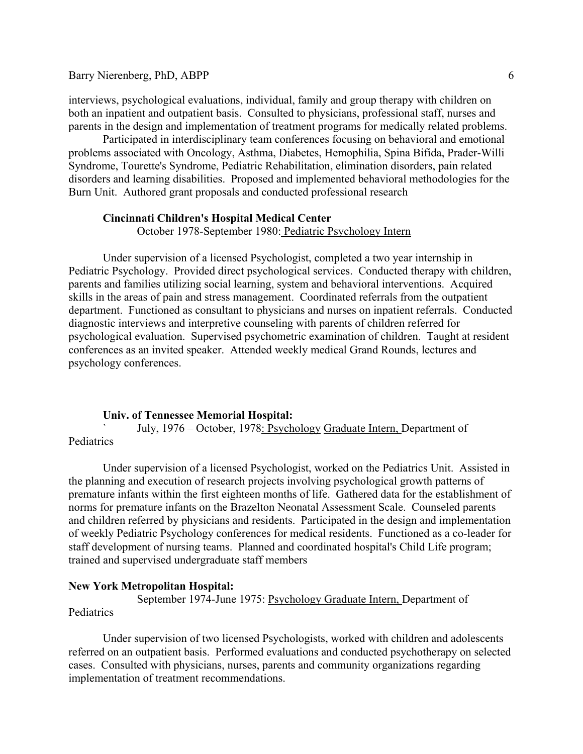interviews, psychological evaluations, individual, family and group therapy with children on both an inpatient and outpatient basis. Consulted to physicians, professional staff, nurses and parents in the design and implementation of treatment programs for medically related problems.

Participated in interdisciplinary team conferences focusing on behavioral and emotional problems associated with Oncology, Asthma, Diabetes, Hemophilia, Spina Bifida, Prader-Willi Syndrome, Tourette's Syndrome, Pediatric Rehabilitation, elimination disorders, pain related disorders and learning disabilities. Proposed and implemented behavioral methodologies for the Burn Unit. Authored grant proposals and conducted professional research

#### **Cincinnati Children's Hospital Medical Center**

October 1978-September 1980: Pediatric Psychology Intern

Under supervision of a licensed Psychologist, completed a two year internship in Pediatric Psychology. Provided direct psychological services. Conducted therapy with children, parents and families utilizing social learning, system and behavioral interventions. Acquired skills in the areas of pain and stress management. Coordinated referrals from the outpatient department. Functioned as consultant to physicians and nurses on inpatient referrals. Conducted diagnostic interviews and interpretive counseling with parents of children referred for psychological evaluation. Supervised psychometric examination of children. Taught at resident conferences as an invited speaker. Attended weekly medical Grand Rounds, lectures and psychology conferences.

#### **Univ. of Tennessee Memorial Hospital:**

July, 1976 – October, 1978: Psychology Graduate Intern, Department of

Pediatrics

 Under supervision of a licensed Psychologist, worked on the Pediatrics Unit. Assisted in the planning and execution of research projects involving psychological growth patterns of premature infants within the first eighteen months of life. Gathered data for the establishment of norms for premature infants on the Brazelton Neonatal Assessment Scale. Counseled parents and children referred by physicians and residents. Participated in the design and implementation of weekly Pediatric Psychology conferences for medical residents. Functioned as a co-leader for staff development of nursing teams. Planned and coordinated hospital's Child Life program; trained and supervised undergraduate staff members

#### **New York Metropolitan Hospital:**

 September 1974-June 1975: Psychology Graduate Intern, Department of **Pediatrics** 

Under supervision of two licensed Psychologists, worked with children and adolescents referred on an outpatient basis. Performed evaluations and conducted psychotherapy on selected cases. Consulted with physicians, nurses, parents and community organizations regarding implementation of treatment recommendations.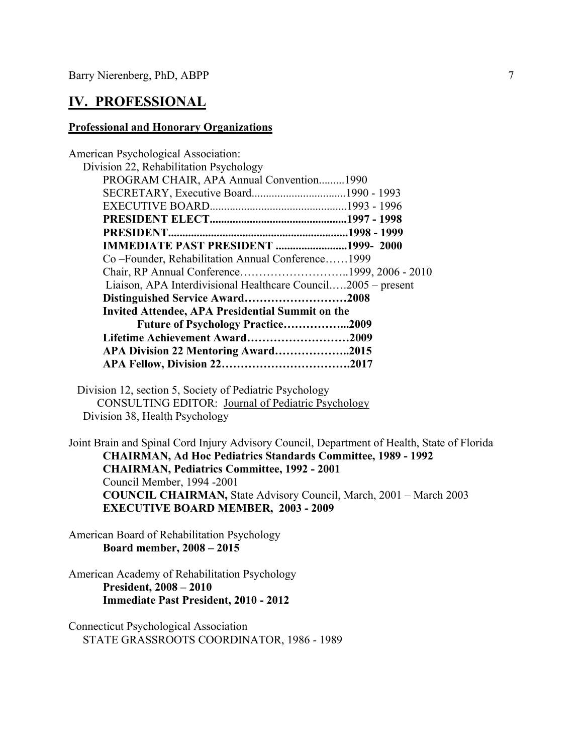## **IV. PROFESSIONAL**

#### **Professional and Honorary Organizations**

| <b>American Psychological Association:</b>                    |  |  |  |
|---------------------------------------------------------------|--|--|--|
| Division 22, Rehabilitation Psychology                        |  |  |  |
| PROGRAM CHAIR, APA Annual Convention1990                      |  |  |  |
|                                                               |  |  |  |
|                                                               |  |  |  |
|                                                               |  |  |  |
| PRESIDENT                                                     |  |  |  |
| <b>IMMEDIATE PAST PRESIDENT 1999-2000</b>                     |  |  |  |
| Co-Founder, Rehabilitation Annual Conference1999              |  |  |  |
| Chair, RP Annual Conference1999, 2006 - 2010                  |  |  |  |
| Liaison, APA Interdivisional Healthcare Council2005 – present |  |  |  |
| Distinguished Service Award2008                               |  |  |  |
| <b>Invited Attendee, APA Presidential Summit on the</b>       |  |  |  |
| <b>Future of Psychology Practice2009</b>                      |  |  |  |
| Lifetime Achievement Award2009                                |  |  |  |
| APA Division 22 Mentoring Award2015                           |  |  |  |
|                                                               |  |  |  |
|                                                               |  |  |  |

Division 12, section 5, Society of Pediatric Psychology CONSULTING EDITOR: Journal of Pediatric Psychology Division 38, Health Psychology

Joint Brain and Spinal Cord Injury Advisory Council, Department of Health, State of Florida  **CHAIRMAN, Ad Hoc Pediatrics Standards Committee, 1989 - 1992 CHAIRMAN, Pediatrics Committee, 1992 - 2001**  Council Member, 1994 -2001  **COUNCIL CHAIRMAN,** State Advisory Council, March, 2001 – March 2003 **EXECUTIVE BOARD MEMBER, 2003 - 2009** 

American Board of Rehabilitation Psychology **Board member, 2008 – 2015** 

### American Academy of Rehabilitation Psychology **President, 2008 – 2010 Immediate Past President, 2010 - 2012**

Connecticut Psychological Association STATE GRASSROOTS COORDINATOR, 1986 - 1989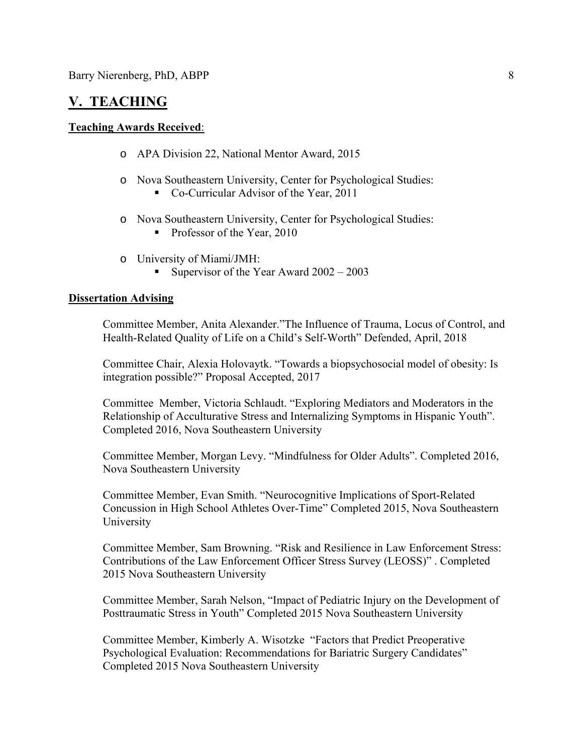## **V. TEACHING**

#### **Teaching Awards Received**:

- o APA Division 22, National Mentor Award, 2015
- o Nova Southeastern University, Center for Psychological Studies:
	- Co-Curricular Advisor of the Year, 2011
- o Nova Southeastern University, Center for Psychological Studies:
	- Professor of the Year, 2010
- o University of Miami/JMH:
	- Supervisor of the Year Award 2002 2003

#### **Dissertation Advising**

Committee Member, Anita Alexander."The Influence of Trauma, Locus of Control, and Health-Related Quality of Life on a Child's Self-Worth" Defended, April, 2018

Committee Chair, Alexia Holovaytk. "Towards a biopsychosocial model of obesity: Is integration possible?" Proposal Accepted, 2017

Committee Member, Victoria Schlaudt. "Exploring Mediators and Moderators in the Relationship of Acculturative Stress and Internalizing Symptoms in Hispanic Youth". Completed 2016, Nova Southeastern University

Committee Member, Morgan Levy. "Mindfulness for Older Adults". Completed 2016, Nova Southeastern University

Committee Member, Evan Smith. "Neurocognitive Implications of Sport-Related Concussion in High School Athletes Over-Time" Completed 2015, Nova Southeastern University

Committee Member, Sam Browning. "Risk and Resilience in Law Enforcement Stress: Contributions of the Law Enforcement Officer Stress Survey (LEOSS)" . Completed 2015 Nova Southeastern University

Committee Member, Sarah Nelson, "Impact of Pediatric Injury on the Development of Posttraumatic Stress in Youth" Completed 2015 Nova Southeastern University

Committee Member, Kimberly A. Wisotzke "Factors that Predict Preoperative Psychological Evaluation: Recommendations for Bariatric Surgery Candidates" Completed 2015 Nova Southeastern University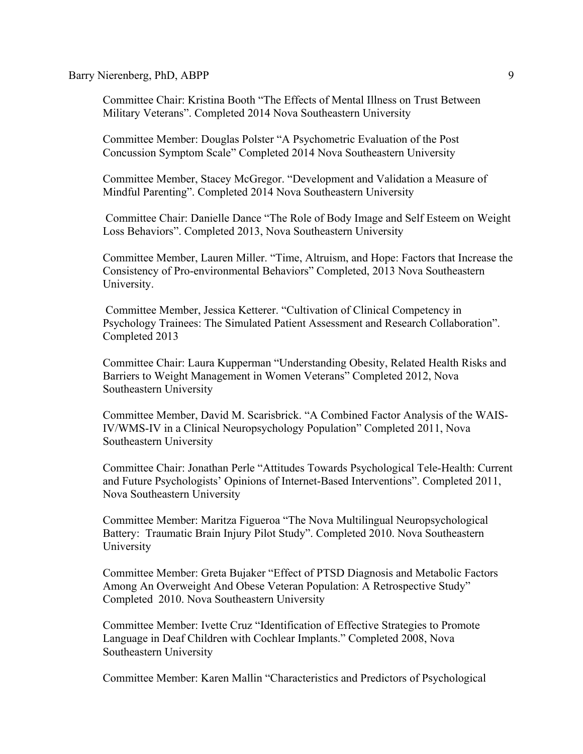Committee Chair: Kristina Booth "The Effects of Mental Illness on Trust Between Military Veterans". Completed 2014 Nova Southeastern University

Committee Member: Douglas Polster "A Psychometric Evaluation of the Post Concussion Symptom Scale" Completed 2014 Nova Southeastern University

Committee Member, Stacey McGregor. "Development and Validation a Measure of Mindful Parenting". Completed 2014 Nova Southeastern University

 Committee Chair: Danielle Dance "The Role of Body Image and Self Esteem on Weight Loss Behaviors". Completed 2013, Nova Southeastern University

Committee Member, Lauren Miller. "Time, Altruism, and Hope: Factors that Increase the Consistency of Pro-environmental Behaviors" Completed, 2013 Nova Southeastern University.

 Committee Member, Jessica Ketterer. "Cultivation of Clinical Competency in Psychology Trainees: The Simulated Patient Assessment and Research Collaboration". Completed 2013

Committee Chair: Laura Kupperman "Understanding Obesity, Related Health Risks and Barriers to Weight Management in Women Veterans" Completed 2012, Nova Southeastern University

Committee Member, David M. Scarisbrick. "A Combined Factor Analysis of the WAIS-IV/WMS-IV in a Clinical Neuropsychology Population" Completed 2011, Nova Southeastern University

Committee Chair: Jonathan Perle "Attitudes Towards Psychological Tele-Health: Current and Future Psychologists' Opinions of Internet-Based Interventions". Completed 2011, Nova Southeastern University

Committee Member: Maritza Figueroa "The Nova Multilingual Neuropsychological Battery: Traumatic Brain Injury Pilot Study". Completed 2010. Nova Southeastern University

Committee Member: Greta Bujaker "Effect of PTSD Diagnosis and Metabolic Factors Among An Overweight And Obese Veteran Population: A Retrospective Study" Completed 2010. Nova Southeastern University

Committee Member: Ivette Cruz "Identification of Effective Strategies to Promote Language in Deaf Children with Cochlear Implants." Completed 2008, Nova Southeastern University

Committee Member: Karen Mallin "Characteristics and Predictors of Psychological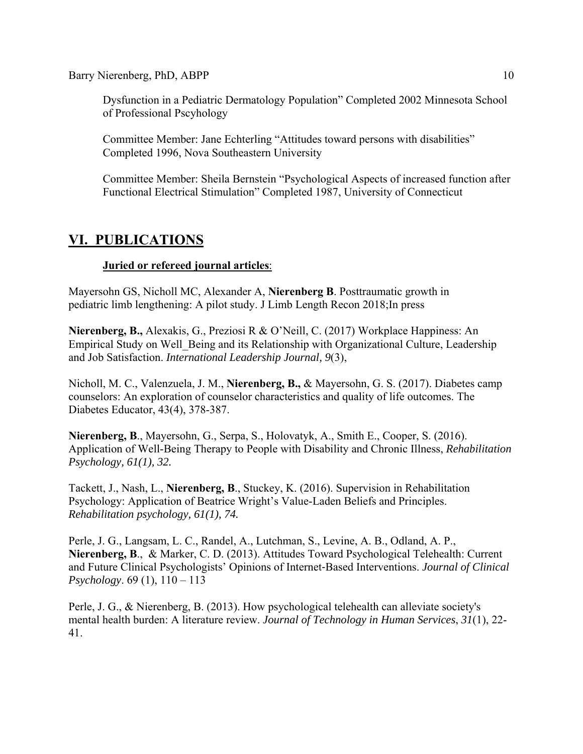Dysfunction in a Pediatric Dermatology Population" Completed 2002 Minnesota School of Professional Pscyhology

Committee Member: Jane Echterling "Attitudes toward persons with disabilities" Completed 1996, Nova Southeastern University

Committee Member: Sheila Bernstein "Psychological Aspects of increased function after Functional Electrical Stimulation" Completed 1987, University of Connecticut

# **VI. PUBLICATIONS**

## **Juried or refereed journal articles**:

Mayersohn GS, Nicholl MC, Alexander A, **Nierenberg B**. Posttraumatic growth in pediatric limb lengthening: A pilot study. J Limb Length Recon 2018;In press

**Nierenberg, B.,** Alexakis, G., Preziosi R & O'Neill, C. (2017) Workplace Happiness: An Empirical Study on Well\_Being and its Relationship with Organizational Culture, Leadership and Job Satisfaction. *International Leadership Journal, 9*(3),

Nicholl, M. C., Valenzuela, J. M., **Nierenberg, B.,** & Mayersohn, G. S. (2017). Diabetes camp counselors: An exploration of counselor characteristics and quality of life outcomes. The Diabetes Educator, 43(4), 378-387.

**Nierenberg, B**., Mayersohn, G., Serpa, S., Holovatyk, A., Smith E., Cooper, S. (2016). Application of Well-Being Therapy to People with Disability and Chronic Illness, *Rehabilitation Psychology, 61(1), 32.* 

Tackett, J., Nash, L., **Nierenberg, B**., Stuckey, K. (2016). Supervision in Rehabilitation Psychology: Application of Beatrice Wright's Value-Laden Beliefs and Principles. *Rehabilitation psychology, 61(1), 74.*

Perle, J. G., Langsam, L. C., Randel, A., Lutchman, S., Levine, A. B., Odland, A. P., **Nierenberg, B**., & Marker, C. D. (2013). Attitudes Toward Psychological Telehealth: Current and Future Clinical Psychologists' Opinions of Internet-Based Interventions. *Journal of Clinical Psychology*. 69 (1), 110 – 113

Perle, J. G., & Nierenberg, B. (2013). How psychological telehealth can alleviate society's mental health burden: A literature review. *Journal of Technology in Human Services*, *31*(1), 22- 41.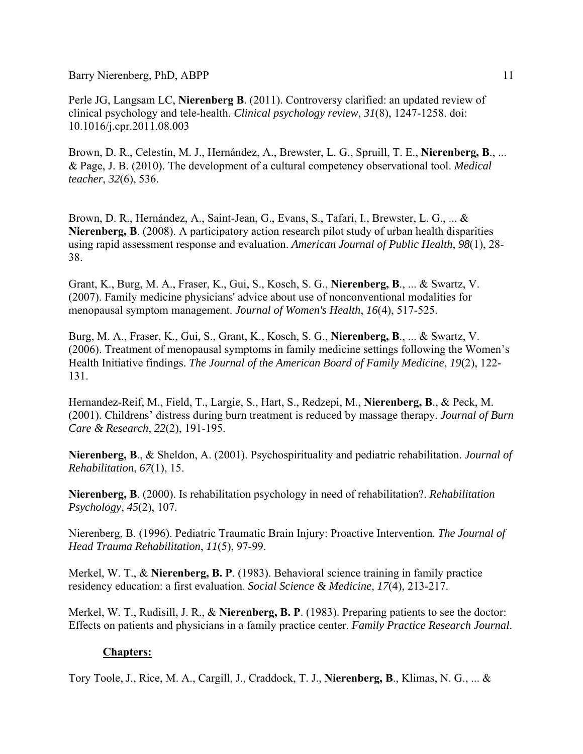Perle JG, Langsam LC, **Nierenberg B**. (2011). Controversy clarified: an updated review of clinical psychology and tele-health. *Clinical psychology review*, *31*(8), 1247-1258. doi: 10.1016/j.cpr.2011.08.003

Brown, D. R., Celestin, M. J., Hernández, A., Brewster, L. G., Spruill, T. E., **Nierenberg, B**., ... & Page, J. B. (2010). The development of a cultural competency observational tool. *Medical teacher*, *32*(6), 536.

Brown, D. R., Hernández, A., Saint-Jean, G., Evans, S., Tafari, I., Brewster, L. G., ... & **Nierenberg, B**. (2008). A participatory action research pilot study of urban health disparities using rapid assessment response and evaluation. *American Journal of Public Health*, *98*(1), 28- 38.

Grant, K., Burg, M. A., Fraser, K., Gui, S., Kosch, S. G., **Nierenberg, B**., ... & Swartz, V. (2007). Family medicine physicians' advice about use of nonconventional modalities for menopausal symptom management. *Journal of Women's Health*, *16*(4), 517-525.

Burg, M. A., Fraser, K., Gui, S., Grant, K., Kosch, S. G., **Nierenberg, B**., ... & Swartz, V. (2006). Treatment of menopausal symptoms in family medicine settings following the Women's Health Initiative findings. *The Journal of the American Board of Family Medicine*, *19*(2), 122- 131.

Hernandez-Reif, M., Field, T., Largie, S., Hart, S., Redzepi, M., **Nierenberg, B**., & Peck, M. (2001). Childrens' distress during burn treatment is reduced by massage therapy. *Journal of Burn Care & Research*, *22*(2), 191-195.

**Nierenberg, B**., & Sheldon, A. (2001). Psychospirituality and pediatric rehabilitation. *Journal of Rehabilitation*, *67*(1), 15.

**Nierenberg, B**. (2000). Is rehabilitation psychology in need of rehabilitation?. *Rehabilitation Psychology*, *45*(2), 107.

Nierenberg, B. (1996). Pediatric Traumatic Brain Injury: Proactive Intervention. *The Journal of Head Trauma Rehabilitation*, *11*(5), 97-99.

Merkel, W. T., & **Nierenberg, B. P**. (1983). Behavioral science training in family practice residency education: a first evaluation. *Social Science & Medicine*, *17*(4), 213-217.

Merkel, W. T., Rudisill, J. R., & **Nierenberg, B. P**. (1983). Preparing patients to see the doctor: Effects on patients and physicians in a family practice center. *Family Practice Research Journal*.

### **Chapters:**

Tory Toole, J., Rice, M. A., Cargill, J., Craddock, T. J., **Nierenberg, B**., Klimas, N. G., ... &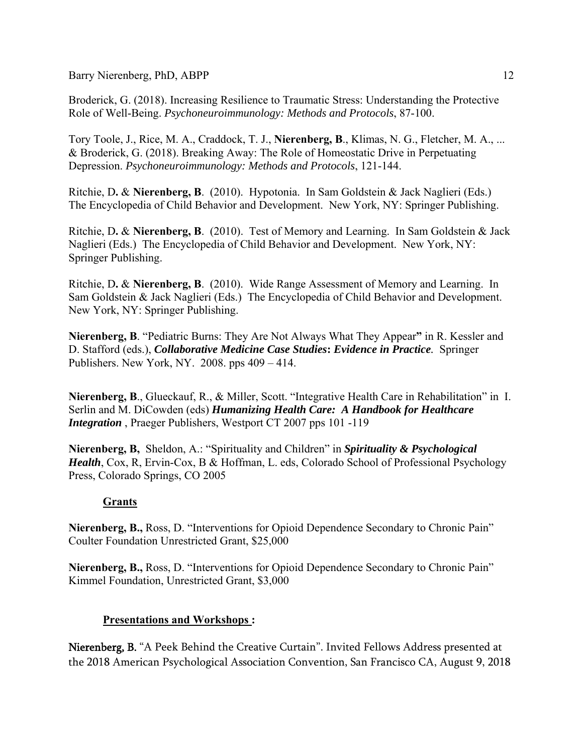Broderick, G. (2018). Increasing Resilience to Traumatic Stress: Understanding the Protective Role of Well-Being. *Psychoneuroimmunology: Methods and Protocols*, 87-100.

Tory Toole, J., Rice, M. A., Craddock, T. J., **Nierenberg, B**., Klimas, N. G., Fletcher, M. A., ... & Broderick, G. (2018). Breaking Away: The Role of Homeostatic Drive in Perpetuating Depression. *Psychoneuroimmunology: Methods and Protocols*, 121-144.

Ritchie, D**.** & **Nierenberg, B**. (2010). Hypotonia. In Sam Goldstein & Jack Naglieri (Eds.) The Encyclopedia of Child Behavior and Development. New York, NY: Springer Publishing.

Ritchie, D**.** & **Nierenberg, B**. (2010). Test of Memory and Learning. In Sam Goldstein & Jack Naglieri (Eds.) The Encyclopedia of Child Behavior and Development. New York, NY: Springer Publishing.

Ritchie, D**.** & **Nierenberg, B**. (2010). Wide Range Assessment of Memory and Learning. In Sam Goldstein & Jack Naglieri (Eds.) The Encyclopedia of Child Behavior and Development. New York, NY: Springer Publishing.

**Nierenberg, B**. "Pediatric Burns: They Are Not Always What They Appear**"** in R. Kessler and D. Stafford (eds.), *Collaborative Medicine Case Studies***:** *Evidence in Practice.* Springer Publishers. New York, NY. 2008. pps 409 – 414.

**Nierenberg, B**., Glueckauf, R., & Miller, Scott. "Integrative Health Care in Rehabilitation" in I. Serlin and M. DiCowden (eds) *Humanizing Health Care: A Handbook for Healthcare Integration* , Praeger Publishers, Westport CT 2007 pps 101 -119

**Nierenberg, B,** Sheldon, A.: "Spirituality and Children" in *Spirituality & Psychological Health*, Cox, R, Ervin-Cox, B & Hoffman, L. eds, Colorado School of Professional Psychology Press, Colorado Springs, CO 2005

## **Grants**

**Nierenberg, B.,** Ross, D. "Interventions for Opioid Dependence Secondary to Chronic Pain" Coulter Foundation Unrestricted Grant, \$25,000

**Nierenberg, B.,** Ross, D. "Interventions for Opioid Dependence Secondary to Chronic Pain" Kimmel Foundation, Unrestricted Grant, \$3,000

## **Presentations and Workshops :**

Nierenberg, B. "A Peek Behind the Creative Curtain". Invited Fellows Address presented at the 2018 American Psychological Association Convention, San Francisco CA, August 9, 2018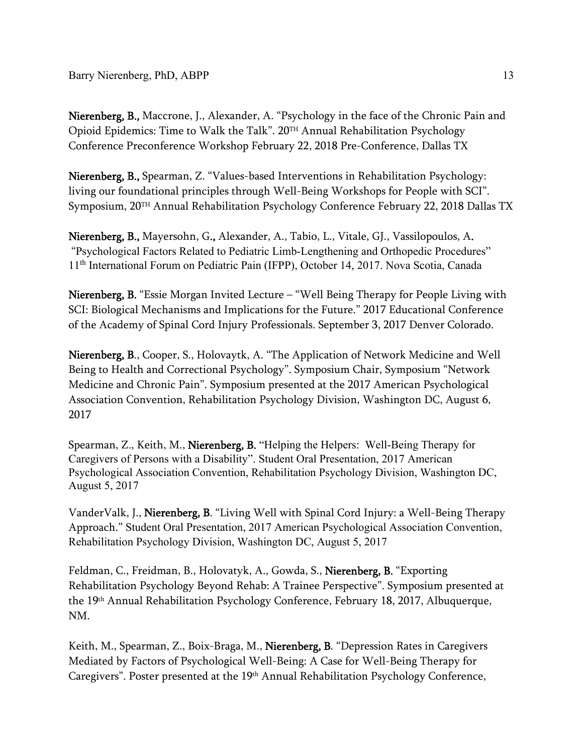Nierenberg, B., Maccrone, J., Alexander, A. "Psychology in the face of the Chronic Pain and Opioid Epidemics: Time to Walk the Talk". 20TH Annual Rehabilitation Psychology Conference Preconference Workshop February 22, 2018 Pre-Conference, Dallas TX

Nierenberg, B., Spearman, Z. "Values-based Interventions in Rehabilitation Psychology: living our foundational principles through Well-Being Workshops for People with SCI". Symposium, 20TH Annual Rehabilitation Psychology Conference February 22, 2018 Dallas TX

Nierenberg, B., Mayersohn, G., Alexander, A., Tabio, L., Vitale, GJ., Vassilopoulos, A. "Psychological Factors Related to Pediatric Limb-Lengthening and Orthopedic Procedures" 11th International Forum on Pediatric Pain (IFPP), October 14, 2017. Nova Scotia, Canada

Nierenberg, B. "Essie Morgan Invited Lecture – "Well Being Therapy for People Living with SCI: Biological Mechanisms and Implications for the Future." 2017 Educational Conference of the Academy of Spinal Cord Injury Professionals. September 3, 2017 Denver Colorado.

Nierenberg, B., Cooper, S., Holovaytk, A. "The Application of Network Medicine and Well Being to Health and Correctional Psychology". Symposium Chair, Symposium "Network Medicine and Chronic Pain". Symposium presented at the 2017 American Psychological Association Convention, Rehabilitation Psychology Division, Washington DC, August 6, 2017

Spearman, Z., Keith, M., Nierenberg, B. "Helping the Helpers: Well-Being Therapy for Caregivers of Persons with a Disability". Student Oral Presentation, 2017 American Psychological Association Convention, Rehabilitation Psychology Division, Washington DC, August 5, 2017

VanderValk, J., Nierenberg, B. "Living Well with Spinal Cord Injury: a Well-Being Therapy Approach." Student Oral Presentation, 2017 American Psychological Association Convention, Rehabilitation Psychology Division, Washington DC, August 5, 2017

Feldman, C., Freidman, B., Holovatyk, A., Gowda, S., Nierenberg, B. "Exporting Rehabilitation Psychology Beyond Rehab: A Trainee Perspective". Symposium presented at the 19th Annual Rehabilitation Psychology Conference, February 18, 2017, Albuquerque, NM.

Keith, M., Spearman, Z., Boix-Braga, M., **Nierenberg, B**. "Depression Rates in Caregivers Mediated by Factors of Psychological Well-Being: A Case for Well-Being Therapy for Caregivers". Poster presented at the 19th Annual Rehabilitation Psychology Conference,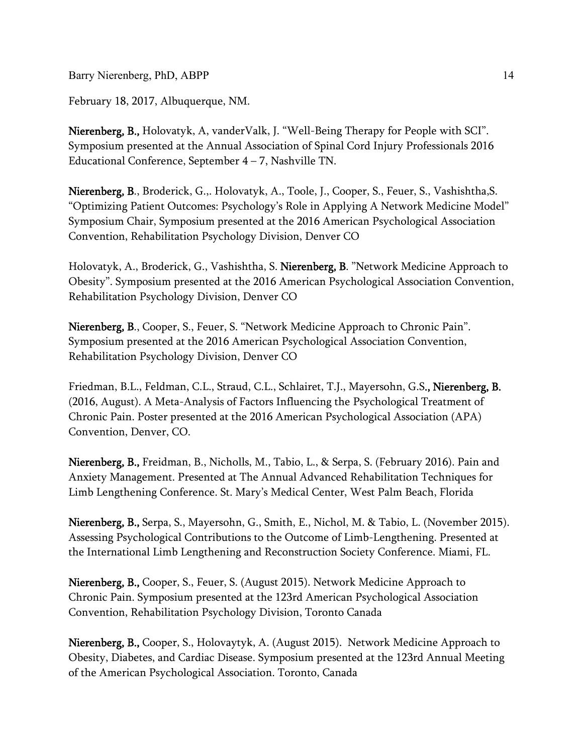February 18, 2017, Albuquerque, NM.

Nierenberg, B., Holovatyk, A., vander Valk, J. "Well-Being Therapy for People with SCI". Symposium presented at the Annual Association of Spinal Cord Injury Professionals 2016 Educational Conference, September  $4 - 7$ , Nashville TN.

Nierenberg, B., Broderick, G.,. Holovatyk, A., Toole, J., Cooper, S., Feuer, S., Vashishtha,S. "Optimizing Patient Outcomes: Psychology's Role in Applying A Network Medicine Model" Symposium Chair, Symposium presented at the 2016 American Psychological Association Convention, Rehabilitation Psychology Division, Denver CO

Holovatyk, A., Broderick, G., Vashishtha, S. Nierenberg, B. "Network Medicine Approach to Obesity". Symposium presented at the 2016 American Psychological Association Convention, Rehabilitation Psychology Division, Denver CO

Nierenberg, B., Cooper, S., Feuer, S. "Network Medicine Approach to Chronic Pain". Symposium presented at the 2016 American Psychological Association Convention, Rehabilitation Psychology Division, Denver CO

Friedman, B.L., Feldman, C.L., Straud, C.L., Schlairet, T.J., Mayersohn, G.S., Nierenberg, B. (2016, August). A Meta-Analysis of Factors Influencing the Psychological Treatment of Chronic Pain. Poster presented at the 2016 American Psychological Association (APA) Convention, Denver, CO.

Nierenberg, B., Freidman, B., Nicholls, M., Tabio, L., & Serpa, S. (February 2016). Pain and Anxiety Management. Presented at The Annual Advanced Rehabilitation Techniques for Limb Lengthening Conference. St. Mary's Medical Center, West Palm Beach, Florida

Nierenberg, B., Serpa, S., Mayersohn, G., Smith, E., Nichol, M. & Tabio, L. (November 2015). Assessing Psychological Contributions to the Outcome of Limb-Lengthening. Presented at the International Limb Lengthening and Reconstruction Society Conference. Miami, FL.

Nierenberg, B., Cooper, S., Feuer, S. (August 2015). Network Medicine Approach to Chronic Pain. Symposium presented at the 123rd American Psychological Association Convention, Rehabilitation Psychology Division, Toronto Canada

Nierenberg, B., Cooper, S., Holovaytyk, A. (August 2015). Network Medicine Approach to Obesity, Diabetes, and Cardiac Disease. Symposium presented at the 123rd Annual Meeting of the American Psychological Association. Toronto, Canada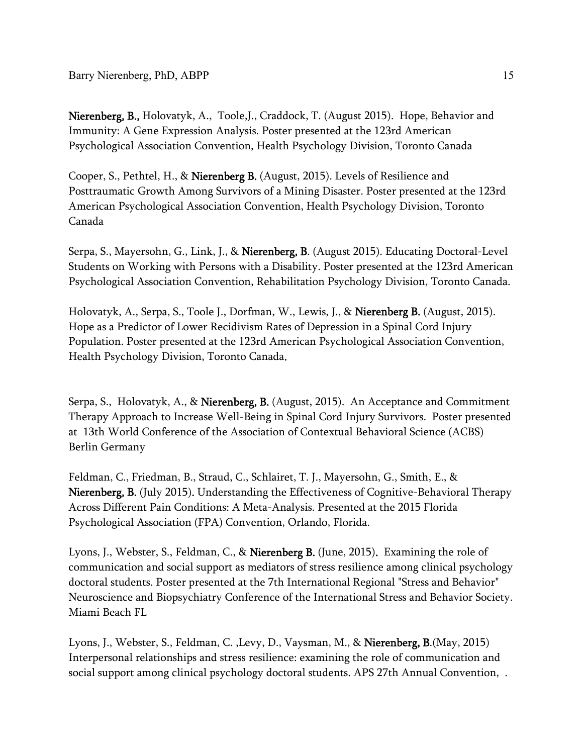Nierenberg, B., Holovatyk, A., Toole, J., Craddock, T. (August 2015). Hope, Behavior and Immunity: A Gene Expression Analysis. Poster presented at the 123rd American Psychological Association Convention, Health Psychology Division, Toronto Canada

Cooper, S., Pethtel, H., & Nierenberg B. (August, 2015). Levels of Resilience and Posttraumatic Growth Among Survivors of a Mining Disaster. Poster presented at the 123rd American Psychological Association Convention, Health Psychology Division, Toronto Canada

Serpa, S., Mayersohn, G., Link, J., & Nierenberg, B. (August 2015). Educating Doctoral-Level Students on Working with Persons with a Disability. Poster presented at the 123rd American Psychological Association Convention, Rehabilitation Psychology Division, Toronto Canada.

Holovatyk, A., Serpa, S., Toole J., Dorfman, W., Lewis, J., & Nierenberg B. (August, 2015). Hope as a Predictor of Lower Recidivism Rates of Depression in a Spinal Cord Injury Population. Poster presented at the 123rd American Psychological Association Convention, Health Psychology Division, Toronto Canada.

Serpa, S., Holovatyk, A., & **Nierenberg, B.** (August, 2015). An Acceptance and Commitment Therapy Approach to Increase Well-Being in Spinal Cord Injury Survivors. Poster presented at 13th World Conference of the Association of Contextual Behavioral Science (ACBS) Berlin Germany

Feldman, C., Friedman, B., Straud, C., Schlairet, T. J., Mayersohn, G., Smith, E., & Nierenberg, B. (July 2015). Understanding the Effectiveness of Cognitive-Behavioral Therapy Across Different Pain Conditions: A Meta-Analysis. Presented at the 2015 Florida Psychological Association (FPA) Convention, Orlando, Florida.

Lyons, J., Webster, S., Feldman, C., & **Nierenberg B.** (June, 2015). Examining the role of communication and social support as mediators of stress resilience among clinical psychology doctoral students. Poster presented at the 7th International Regional "Stress and Behavior" Neuroscience and Biopsychiatry Conference of the International Stress and Behavior Society. Miami Beach FL

Lyons, J., Webster, S., Feldman, C. ,Levy, D., Vaysman, M., & Nierenberg, B.(May, 2015) Interpersonal relationships and stress resilience: examining the role of communication and social support among clinical psychology doctoral students. APS 27th Annual Convention, .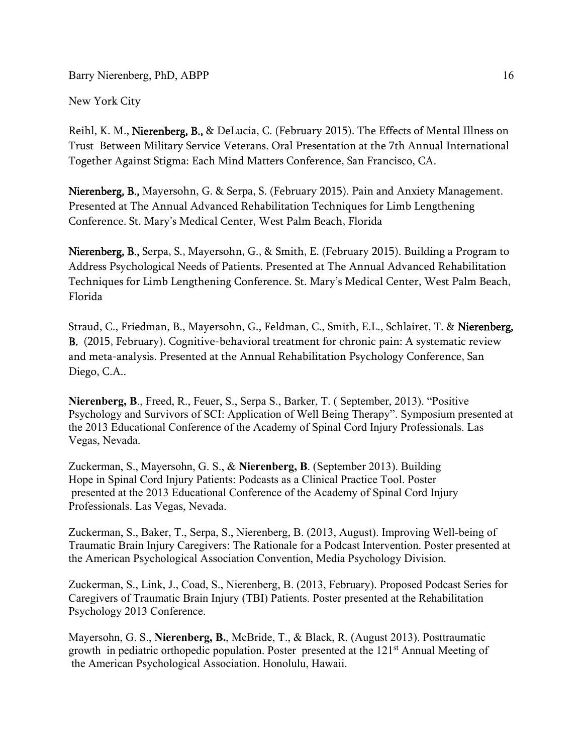New York City

Reihl, K. M., Nierenberg, B., & DeLucia, C. (February 2015). The Effects of Mental Illness on Trust Between Military Service Veterans. Oral Presentation at the 7th Annual International Together Against Stigma: Each Mind Matters Conference, San Francisco, CA.

Nierenberg, B., Mayersohn, G. & Serpa, S. (February 2015). Pain and Anxiety Management. Presented at The Annual Advanced Rehabilitation Techniques for Limb Lengthening Conference. St. Mary's Medical Center, West Palm Beach, Florida

Nierenberg, B., Serpa, S., Mayersohn, G., & Smith, E. (February 2015). Building a Program to Address Psychological Needs of Patients. Presented at The Annual Advanced Rehabilitation Techniques for Limb Lengthening Conference. St. Mary's Medical Center, West Palm Beach, Florida

Straud, C., Friedman, B., Mayersohn, G., Feldman, C., Smith, E.L., Schlairet, T. & Nierenberg, B. (2015, February). Cognitive-behavioral treatment for chronic pain: A systematic review and meta-analysis. Presented at the Annual Rehabilitation Psychology Conference, San Diego, C.A..

**Nierenberg, B**., Freed, R., Feuer, S., Serpa S., Barker, T. ( September, 2013). "Positive Psychology and Survivors of SCI: Application of Well Being Therapy". Symposium presented at the 2013 Educational Conference of the Academy of Spinal Cord Injury Professionals. Las Vegas, Nevada.

Zuckerman, S., Mayersohn, G. S., & **Nierenberg, B**. (September 2013). Building Hope in Spinal Cord Injury Patients: Podcasts as a Clinical Practice Tool. Poster presented at the 2013 Educational Conference of the Academy of Spinal Cord Injury Professionals. Las Vegas, Nevada.

Zuckerman, S., Baker, T., Serpa, S., Nierenberg, B. (2013, August). Improving Well-being of Traumatic Brain Injury Caregivers: The Rationale for a Podcast Intervention. Poster presented at the American Psychological Association Convention, Media Psychology Division.

Zuckerman, S., Link, J., Coad, S., Nierenberg, B. (2013, February). Proposed Podcast Series for Caregivers of Traumatic Brain Injury (TBI) Patients. Poster presented at the Rehabilitation Psychology 2013 Conference.

Mayersohn, G. S., **Nierenberg, B.**, McBride, T., & Black, R. (August 2013). Posttraumatic growth in pediatric orthopedic population. Poster presented at the 121<sup>st</sup> Annual Meeting of the American Psychological Association. Honolulu, Hawaii.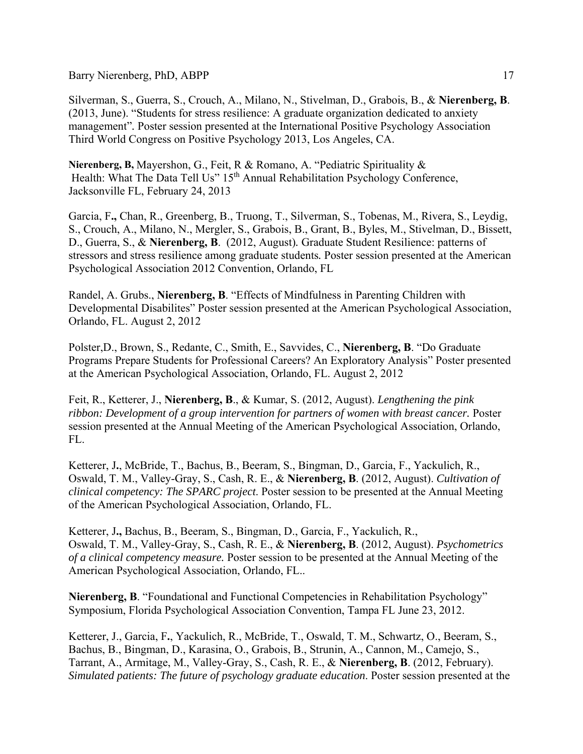Silverman, S., Guerra, S., Crouch, A., Milano, N., Stivelman, D., Grabois, B., & **Nierenberg, B**. (2013, June). "Students for stress resilience: A graduate organization dedicated to anxiety management"*.* Poster session presented at the International Positive Psychology Association Third World Congress on Positive Psychology 2013, Los Angeles, CA.

**Nierenberg, B,** Mayershon, G., Feit, R & Romano, A. "Pediatric Spirituality & Health: What The Data Tell Us" 15<sup>th</sup> Annual Rehabilitation Psychology Conference, Jacksonville FL, February 24, 2013

Garcia, F**.,** Chan, R., Greenberg, B., Truong, T., Silverman, S., Tobenas, M., Rivera, S., Leydig, S., Crouch, A., Milano, N., Mergler, S., Grabois, B., Grant, B., Byles, M., Stivelman, D., Bissett, D., Guerra, S., & **Nierenberg, B**. (2012, August)*.* Graduate Student Resilience: patterns of stressors and stress resilience among graduate students*.* Poster session presented at the American Psychological Association 2012 Convention, Orlando, FL

Randel, A. Grubs., **Nierenberg, B**. "Effects of Mindfulness in Parenting Children with Developmental Disabilites" Poster session presented at the American Psychological Association, Orlando, FL. August 2, 2012

Polster,D., Brown, S., Redante, C., Smith, E., Savvides, C., **Nierenberg, B**. "Do Graduate Programs Prepare Students for Professional Careers? An Exploratory Analysis" Poster presented at the American Psychological Association, Orlando, FL. August 2, 2012

Feit, R., Ketterer, J., **Nierenberg, B**., & Kumar, S. (2012, August). *Lengthening the pink*  ribbon: Development of a group intervention for partners of women with breast cancer. Poster session presented at the Annual Meeting of the American Psychological Association, Orlando, FL.

Ketterer, J**.**, McBride, T., Bachus, B., Beeram, S., Bingman, D., Garcia, F., Yackulich, R., Oswald, T. M., Valley-Gray, S., Cash, R. E., & **Nierenberg, B**. (2012, August). *Cultivation of clinical competency: The SPARC project*. Poster session to be presented at the Annual Meeting of the American Psychological Association, Orlando, FL.

Ketterer, J**.,** Bachus, B., Beeram, S., Bingman, D., Garcia, F., Yackulich, R., Oswald, T. M., Valley-Gray, S., Cash, R. E., & **Nierenberg, B**. (2012, August). *Psychometrics of a clinical competency measure.* Poster session to be presented at the Annual Meeting of the American Psychological Association, Orlando, FL..

**Nierenberg, B**. "Foundational and Functional Competencies in Rehabilitation Psychology" Symposium, Florida Psychological Association Convention, Tampa FL June 23, 2012.

Ketterer, J., Garcia, F**.**, Yackulich, R., McBride, T., Oswald, T. M., Schwartz, O., Beeram, S., Bachus, B., Bingman, D., Karasina, O., Grabois, B., Strunin, A., Cannon, M., Camejo, S., Tarrant, A., Armitage, M., Valley-Gray, S., Cash, R. E., & **Nierenberg, B**. (2012, February). *Simulated patients: The future of psychology graduate education*. Poster session presented at the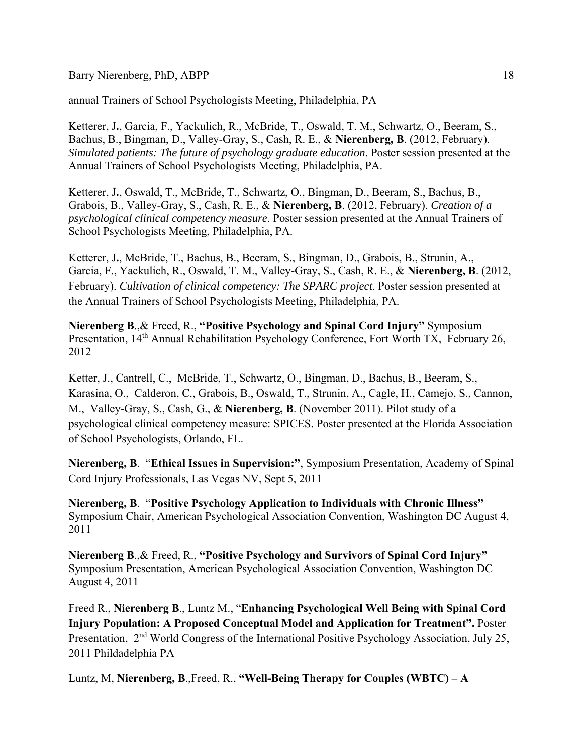annual Trainers of School Psychologists Meeting, Philadelphia, PA

Ketterer, J**.**, Garcia, F., Yackulich, R., McBride, T., Oswald, T. M., Schwartz, O., Beeram, S., Bachus, B., Bingman, D., Valley-Gray, S., Cash, R. E., & **Nierenberg, B**. (2012, February). *Simulated patients: The future of psychology graduate education*. Poster session presented at the Annual Trainers of School Psychologists Meeting, Philadelphia, PA.

Ketterer, J**.**, Oswald, T., McBride, T., Schwartz, O., Bingman, D., Beeram, S., Bachus, B., Grabois, B., Valley-Gray, S., Cash, R. E., & **Nierenberg, B**. (2012, February). *Creation of a psychological clinical competency measure*. Poster session presented at the Annual Trainers of School Psychologists Meeting, Philadelphia, PA.

Ketterer, J**.**, McBride, T., Bachus, B., Beeram, S., Bingman, D., Grabois, B., Strunin, A., Garcia, F., Yackulich, R., Oswald, T. M., Valley-Gray, S., Cash, R. E., & **Nierenberg, B**. (2012, February). *Cultivation of clinical competency: The SPARC project*. Poster session presented at the Annual Trainers of School Psychologists Meeting, Philadelphia, PA.

**Nierenberg B**.,& Freed, R., **"Positive Psychology and Spinal Cord Injury"** Symposium Presentation, 14<sup>th</sup> Annual Rehabilitation Psychology Conference, Fort Worth TX, February 26, 2012

Ketter, J., Cantrell, C., McBride, T., Schwartz, O., Bingman, D., Bachus, B., Beeram, S., Karasina, O., Calderon, C., Grabois, B., Oswald, T., Strunin, A., Cagle, H., Camejo, S., Cannon, M., Valley-Gray, S., Cash, G., & **Nierenberg, B**. (November 2011). Pilot study of a psychological clinical competency measure: SPICES. Poster presented at the Florida Association of School Psychologists, Orlando, FL.

**Nierenberg, B**. "**Ethical Issues in Supervision:"**, Symposium Presentation, Academy of Spinal Cord Injury Professionals, Las Vegas NV, Sept 5, 2011

**Nierenberg, B**. "**Positive Psychology Application to Individuals with Chronic Illness"** Symposium Chair, American Psychological Association Convention, Washington DC August 4, 2011

**Nierenberg B**.,& Freed, R., **"Positive Psychology and Survivors of Spinal Cord Injury"** Symposium Presentation, American Psychological Association Convention, Washington DC August 4, 2011

Freed R., **Nierenberg B**., Luntz M., "**Enhancing Psychological Well Being with Spinal Cord Injury Population: A Proposed Conceptual Model and Application for Treatment".** Poster Presentation, 2<sup>nd</sup> World Congress of the International Positive Psychology Association, July 25, 2011 Phildadelphia PA

Luntz, M, **Nierenberg, B**.,Freed, R., **"Well-Being Therapy for Couples (WBTC) – A**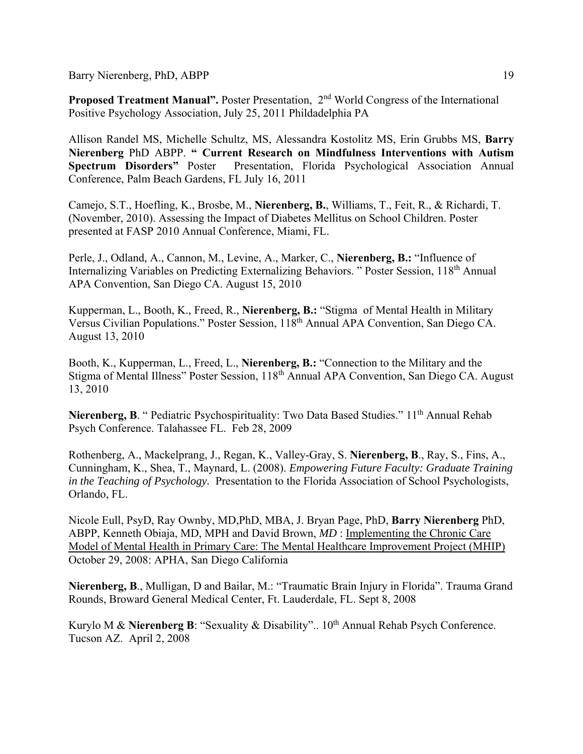**Proposed Treatment Manual".** Poster Presentation, 2<sup>nd</sup> World Congress of the International Positive Psychology Association, July 25, 2011 Phildadelphia PA

Allison Randel MS, Michelle Schultz, MS, Alessandra Kostolitz MS, Erin Grubbs MS, **Barry Nierenberg** PhD ABPP. **" Current Research on Mindfulness Interventions with Autism Spectrum Disorders"** Poster Presentation, Florida Psychological Association Annual Conference, Palm Beach Gardens, FL July 16, 2011

Camejo, S.T., Hoefling, K., Brosbe, M., **Nierenberg, B.**, Williams, T., Feit, R., & Richardi, T. (November, 2010). Assessing the Impact of Diabetes Mellitus on School Children. Poster presented at FASP 2010 Annual Conference, Miami, FL.

Perle, J., Odland, A., Cannon, M., Levine, A., Marker, C., **Nierenberg, B.:** "Influence of Internalizing Variables on Predicting Externalizing Behaviors. " Poster Session, 118<sup>th</sup> Annual APA Convention, San Diego CA. August 15, 2010

Kupperman, L., Booth, K., Freed, R., **Nierenberg, B.:** "Stigma of Mental Health in Military Versus Civilian Populations." Poster Session, 118th Annual APA Convention, San Diego CA. August 13, 2010

Booth, K., Kupperman, L., Freed, L., **Nierenberg, B.:** "Connection to the Military and the Stigma of Mental Illness" Poster Session, 118th Annual APA Convention, San Diego CA. August 13, 2010

Nierenberg, B. " Pediatric Psychospirituality: Two Data Based Studies." 11<sup>th</sup> Annual Rehab Psych Conference. Talahassee FL. Feb 28, 2009

Rothenberg, A., Mackelprang, J., Regan, K., Valley-Gray, S. **Nierenberg, B**., Ray, S., Fins, A., Cunningham, K., Shea, T., Maynard, L. (2008). *Empowering Future Faculty: Graduate Training in the Teaching of Psychology.* Presentation to the Florida Association of School Psychologists, Orlando, FL.

Nicole Eull, PsyD, Ray Ownby, MD,PhD, MBA, J. Bryan Page, PhD, **Barry Nierenberg** PhD, ABPP, Kenneth Obiaja, MD, MPH and David Brown, *MD* : Implementing the Chronic Care Model of Mental Health in Primary Care: The Mental Healthcare Improvement Project (MHIP) October 29, 2008: APHA, San Diego California

**Nierenberg, B**., Mulligan, D and Bailar, M.: "Traumatic Brain Injury in Florida". Trauma Grand Rounds, Broward General Medical Center, Ft. Lauderdale, FL. Sept 8, 2008

Kurylo M & **Nierenberg B**: "Sexuality & Disability".. 10<sup>th</sup> Annual Rehab Psych Conference. Tucson AZ. April 2, 2008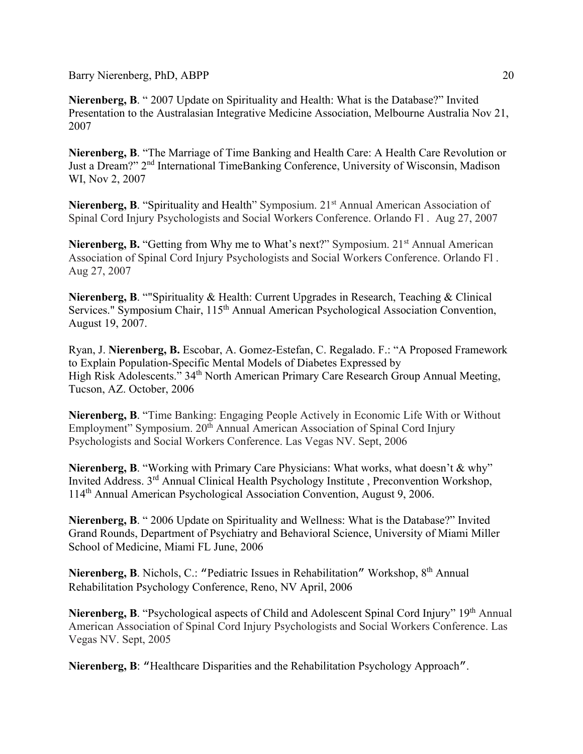**Nierenberg, B**. " 2007 Update on Spirituality and Health: What is the Database?" Invited Presentation to the Australasian Integrative Medicine Association, Melbourne Australia Nov 21, 2007

**Nierenberg, B**. "The Marriage of Time Banking and Health Care: A Health Care Revolution or Just a Dream?" 2nd International TimeBanking Conference, University of Wisconsin, Madison WI, Nov 2, 2007

**Nierenberg, B.** "Spirituality and Health" Symposium. 21<sup>st</sup> Annual American Association of Spinal Cord Injury Psychologists and Social Workers Conference. Orlando Fl . Aug 27, 2007

**Nierenberg, B.** "Getting from Why me to What's next?" Symposium. 21<sup>st</sup> Annual American Association of Spinal Cord Injury Psychologists and Social Workers Conference. Orlando Fl . Aug 27, 2007

**Nierenberg, B**. ""Spirituality & Health: Current Upgrades in Research, Teaching & Clinical Services." Symposium Chair, 115<sup>th</sup> Annual American Psychological Association Convention, August 19, 2007.

Ryan, J. **Nierenberg, B.** Escobar, A. Gomez-Estefan, C. Regalado. F.: "A Proposed Framework to Explain Population-Specific Mental Models of Diabetes Expressed by High Risk Adolescents." 34<sup>th</sup> North American Primary Care Research Group Annual Meeting, Tucson, AZ. October, 2006

**Nierenberg, B**. "Time Banking: Engaging People Actively in Economic Life With or Without Employment" Symposium. 20<sup>th</sup> Annual American Association of Spinal Cord Injury Psychologists and Social Workers Conference. Las Vegas NV. Sept, 2006

**Nierenberg, B.** "Working with Primary Care Physicians: What works, what doesn't & why" Invited Address. 3rd Annual Clinical Health Psychology Institute , Preconvention Workshop, 114th Annual American Psychological Association Convention, August 9, 2006.

**Nierenberg, B**. " 2006 Update on Spirituality and Wellness: What is the Database?" Invited Grand Rounds, Department of Psychiatry and Behavioral Science, University of Miami Miller School of Medicine, Miami FL June, 2006

Nierenberg, B. Nichols, C.: "Pediatric Issues in Rehabilitation" Workshop, 8<sup>th</sup> Annual Rehabilitation Psychology Conference, Reno, NV April, 2006

Nierenberg, B. "Psychological aspects of Child and Adolescent Spinal Cord Injury" 19<sup>th</sup> Annual American Association of Spinal Cord Injury Psychologists and Social Workers Conference. Las Vegas NV. Sept, 2005

**Nierenberg, B**: "Healthcare Disparities and the Rehabilitation Psychology Approach".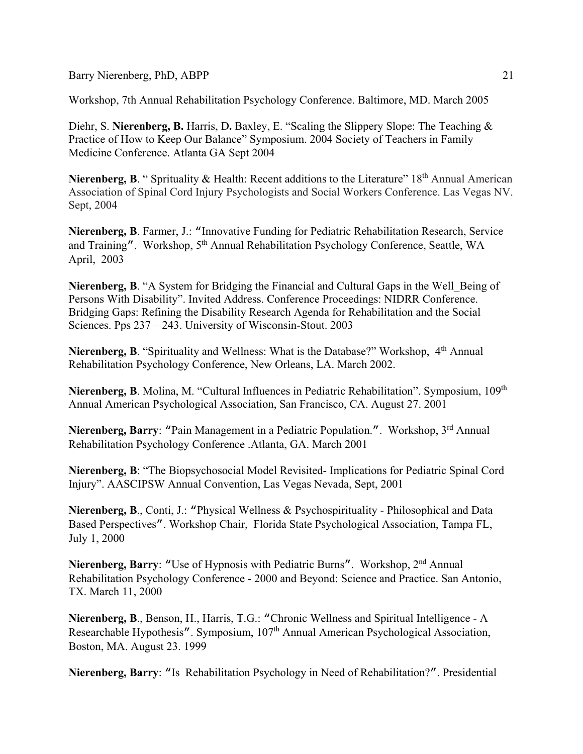Workshop, 7th Annual Rehabilitation Psychology Conference. Baltimore, MD. March 2005

Diehr, S. Nierenberg, B. Harris, D. Baxley, E. "Scaling the Slippery Slope: The Teaching & Practice of How to Keep Our Balance" Symposium. 2004 Society of Teachers in Family Medicine Conference. Atlanta GA Sept 2004

Nierenberg, B. " Sprituality & Health: Recent additions to the Literature" 18<sup>th</sup> Annual American Association of Spinal Cord Injury Psychologists and Social Workers Conference. Las Vegas NV. Sept, 2004

**Nierenberg, B**. Farmer, J.: "Innovative Funding for Pediatric Rehabilitation Research, Service and Training". Workshop, 5<sup>th</sup> Annual Rehabilitation Psychology Conference, Seattle, WA April, 2003

Nierenberg, B. "A System for Bridging the Financial and Cultural Gaps in the Well Being of Persons With Disability". Invited Address. Conference Proceedings: NIDRR Conference. Bridging Gaps: Refining the Disability Research Agenda for Rehabilitation and the Social Sciences. Pps 237 – 243. University of Wisconsin-Stout. 2003

Nierenberg, B. "Spirituality and Wellness: What is the Database?" Workshop, 4<sup>th</sup> Annual Rehabilitation Psychology Conference, New Orleans, LA. March 2002.

Nierenberg, B. Molina, M. "Cultural Influences in Pediatric Rehabilitation". Symposium, 109<sup>th</sup> Annual American Psychological Association, San Francisco, CA. August 27. 2001

Nierenberg, Barry: "Pain Management in a Pediatric Population.". Workshop, 3<sup>rd</sup> Annual Rehabilitation Psychology Conference .Atlanta, GA. March 2001

**Nierenberg, B**: "The Biopsychosocial Model Revisited- Implications for Pediatric Spinal Cord Injury". AASCIPSW Annual Convention, Las Vegas Nevada, Sept, 2001

**Nierenberg, B**., Conti, J.: "Physical Wellness & Psychospirituality - Philosophical and Data Based Perspectives". Workshop Chair, Florida State Psychological Association, Tampa FL, July 1, 2000

**Nierenberg, Barry:** "Use of Hypnosis with Pediatric Burns". Workshop, 2<sup>nd</sup> Annual Rehabilitation Psychology Conference - 2000 and Beyond: Science and Practice. San Antonio, TX. March 11, 2000

**Nierenberg, B**., Benson, H., Harris, T.G.: "Chronic Wellness and Spiritual Intelligence - A Researchable Hypothesis". Symposium, 107<sup>th</sup> Annual American Psychological Association, Boston, MA. August 23. 1999

**Nierenberg, Barry**: "Is Rehabilitation Psychology in Need of Rehabilitation?". Presidential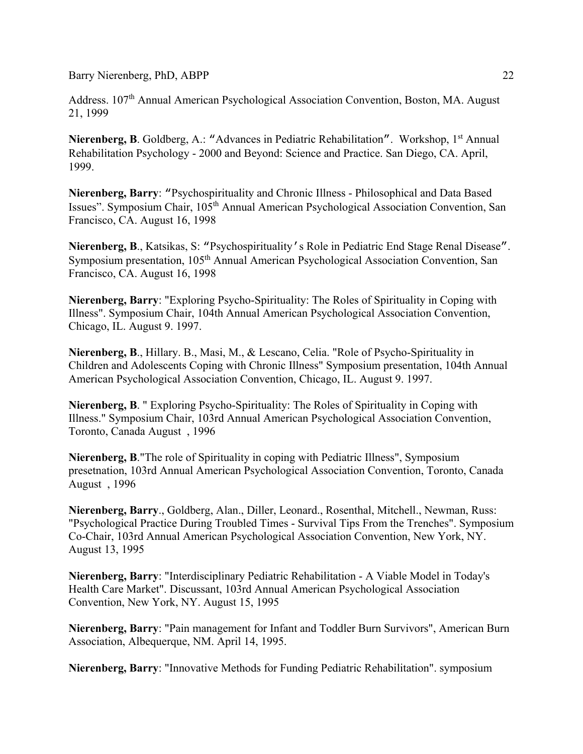Address. 107<sup>th</sup> Annual American Psychological Association Convention, Boston, MA. August 21, 1999

**Nierenberg, B.** Goldberg, A.: "Advances in Pediatric Rehabilitation". Workshop, 1<sup>st</sup> Annual Rehabilitation Psychology - 2000 and Beyond: Science and Practice. San Diego, CA. April, 1999.

**Nierenberg, Barry**: "Psychospirituality and Chronic Illness - Philosophical and Data Based Issues". Symposium Chair, 105th Annual American Psychological Association Convention, San Francisco, CA. August 16, 1998

**Nierenberg, B**., Katsikas, S: "Psychospirituality's Role in Pediatric End Stage Renal Disease". Symposium presentation, 105<sup>th</sup> Annual American Psychological Association Convention, San Francisco, CA. August 16, 1998

**Nierenberg, Barry**: "Exploring Psycho-Spirituality: The Roles of Spirituality in Coping with Illness". Symposium Chair, 104th Annual American Psychological Association Convention, Chicago, IL. August 9. 1997.

**Nierenberg, B**., Hillary. B., Masi, M., & Lescano, Celia. "Role of Psycho-Spirituality in Children and Adolescents Coping with Chronic Illness" Symposium presentation, 104th Annual American Psychological Association Convention, Chicago, IL. August 9. 1997.

**Nierenberg, B**. " Exploring Psycho-Spirituality: The Roles of Spirituality in Coping with Illness." Symposium Chair, 103rd Annual American Psychological Association Convention, Toronto, Canada August , 1996

**Nierenberg, B**."The role of Spirituality in coping with Pediatric Illness", Symposium presetnation, 103rd Annual American Psychological Association Convention, Toronto, Canada August , 1996

**Nierenberg, Barry**., Goldberg, Alan., Diller, Leonard., Rosenthal, Mitchell., Newman, Russ: "Psychological Practice During Troubled Times - Survival Tips From the Trenches". Symposium Co-Chair, 103rd Annual American Psychological Association Convention, New York, NY. August 13, 1995

**Nierenberg, Barry**: "Interdisciplinary Pediatric Rehabilitation - A Viable Model in Today's Health Care Market". Discussant, 103rd Annual American Psychological Association Convention, New York, NY. August 15, 1995

**Nierenberg, Barry**: "Pain management for Infant and Toddler Burn Survivors", American Burn Association, Albequerque, NM. April 14, 1995.

**Nierenberg, Barry**: "Innovative Methods for Funding Pediatric Rehabilitation". symposium